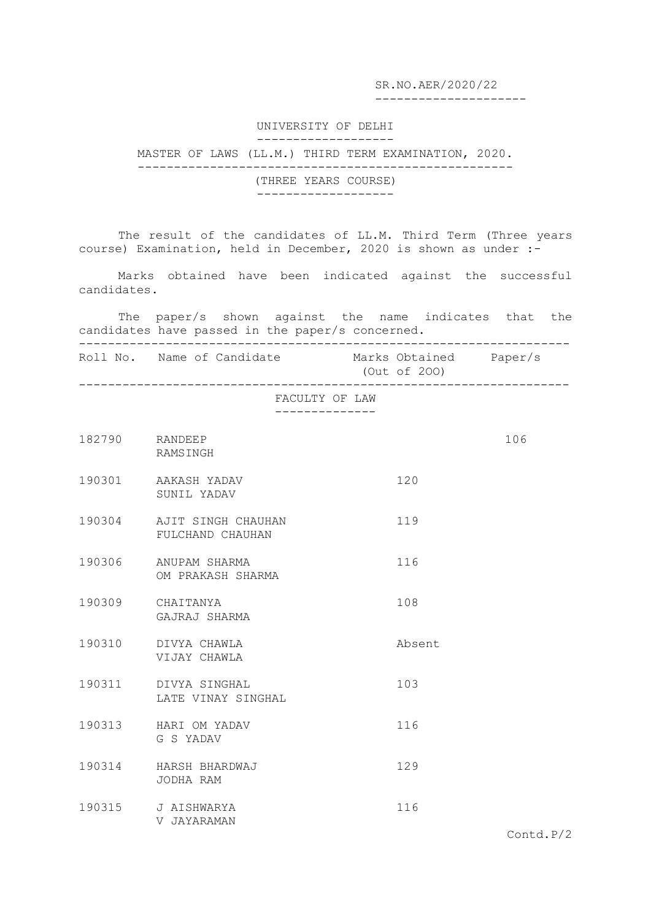SR.NO.AER/2020/22

---------------------

## UNIVERSITY OF DELHI -------------------

## MASTER OF LAWS (LL.M.) THIRD TERM EXAMINATION, 2020. ----------------------------------------------------

(THREE YEARS COURSE) -------------------

The result of the candidates of LL.M. Third Term (Three years course) Examination, held in December, 2020 is shown as under :-

Marks obtained have been indicated against the successful candidates.

The paper/s shown against the name indicates that the candidates have passed in the paper/s concerned. --------------------------------------------------------------------

Roll No. Name of Candidate Marks Obtained Paper/s (Out of 2OO)

--------------------------------------------------------------------

FACULTY OF LAW

--------------

| 182790 RANDEEP   | RAMSINGH                                      |        | 106 |
|------------------|-----------------------------------------------|--------|-----|
|                  | 190301 AAKASH YADAV<br>SUNIL YADAV            | 120    |     |
|                  | 190304 AJIT SINGH CHAUHAN<br>FULCHAND CHAUHAN | 119    |     |
|                  | 190306 ANUPAM SHARMA<br>OM PRAKASH SHARMA     | 116    |     |
| 190309 CHAITANYA | GAJRAJ SHARMA                                 | 108    |     |
|                  | 190310 DIVYA CHAWLA<br>VIJAY CHAWLA           | Absent |     |
|                  | 190311 DIVYA SINGHAL<br>LATE VINAY SINGHAL    | 103    |     |
|                  | 190313 HARI OM YADAV<br>G S YADAV             | 116    |     |
|                  | 190314 HARSH BHARDWAJ<br>JODHA RAM            | 129    |     |
|                  | 190315 J AISHWARYA<br>V JAYARAMAN             | 116    |     |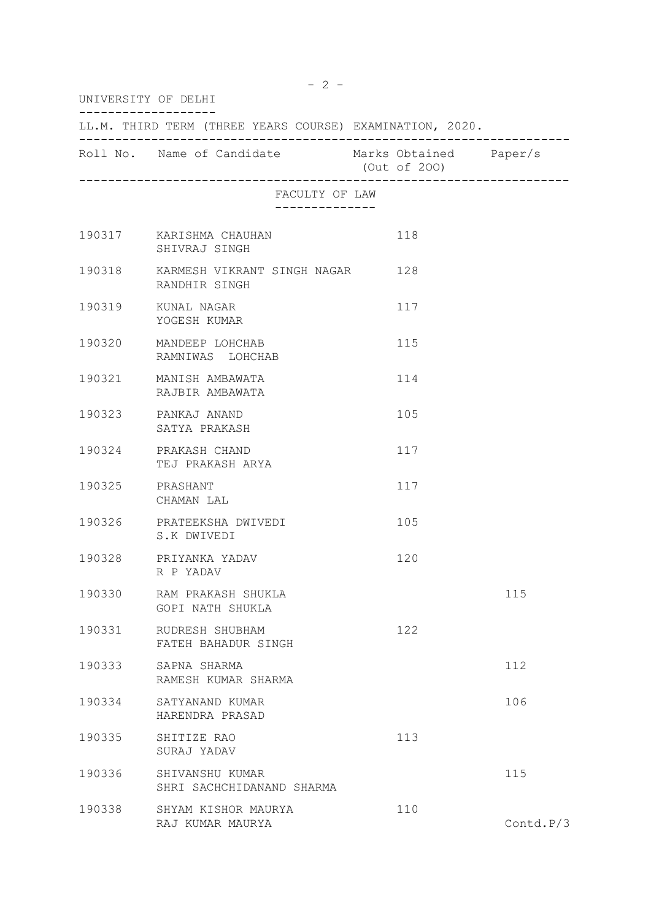| UNIVERSITY OF DELHI                                      |                                                         |  |              |           |  |  |  |
|----------------------------------------------------------|---------------------------------------------------------|--|--------------|-----------|--|--|--|
| LL.M. THIRD TERM (THREE YEARS COURSE) EXAMINATION, 2020. |                                                         |  |              |           |  |  |  |
|                                                          | Roll No. Name of Candidate Marks Obtained Paper/s       |  | (Out of 200) |           |  |  |  |
|                                                          | FACULTY OF LAW<br>--------------                        |  |              |           |  |  |  |
|                                                          | 190317 KARISHMA CHAUHAN<br>SHIVRAJ SINGH                |  | 118          |           |  |  |  |
|                                                          | 190318 KARMESH VIKRANT SINGH NAGAR 128<br>RANDHIR SINGH |  |              |           |  |  |  |
|                                                          | 190319 KUNAL NAGAR<br>YOGESH KUMAR                      |  | 117          |           |  |  |  |
|                                                          | 190320 MANDEEP LOHCHAB<br>RAMNIWAS LOHCHAB              |  | 115          |           |  |  |  |
|                                                          | 190321 MANISH AMBAWATA<br>RAJBIR AMBAWATA               |  | 114          |           |  |  |  |
|                                                          | 190323 PANKAJ ANAND<br>SATYA PRAKASH                    |  | 105          |           |  |  |  |
|                                                          | 190324 PRAKASH CHAND<br>TEJ PRAKASH ARYA                |  | 117          |           |  |  |  |
|                                                          | 190325 PRASHANT<br>CHAMAN LAL                           |  | 117          |           |  |  |  |
|                                                          | 190326 PRATEEKSHA DWIVEDI<br>S.K DWIVEDI                |  | 105          |           |  |  |  |
|                                                          | 190328 PRIYANKA YADAV<br>R P YADAV                      |  | 120          |           |  |  |  |
| 190330                                                   | RAM PRAKASH SHUKLA<br>GOPI NATH SHUKLA                  |  |              | 115       |  |  |  |
| 190331                                                   | RUDRESH SHUBHAM<br>FATEH BAHADUR SINGH                  |  | 122          |           |  |  |  |
| 190333                                                   | SAPNA SHARMA<br>RAMESH KUMAR SHARMA                     |  |              | 112       |  |  |  |
| 190334                                                   | SATYANAND KUMAR<br>HARENDRA PRASAD                      |  |              | 106       |  |  |  |
| 190335                                                   | SHITIZE RAO<br>SURAJ YADAV                              |  | 113          |           |  |  |  |
| 190336                                                   | SHIVANSHU KUMAR<br>SHRI SACHCHIDANAND SHARMA            |  |              | 115       |  |  |  |
| 190338                                                   | SHYAM KISHOR MAURYA<br>RAJ KUMAR MAURYA                 |  | 110          | Contd.P/3 |  |  |  |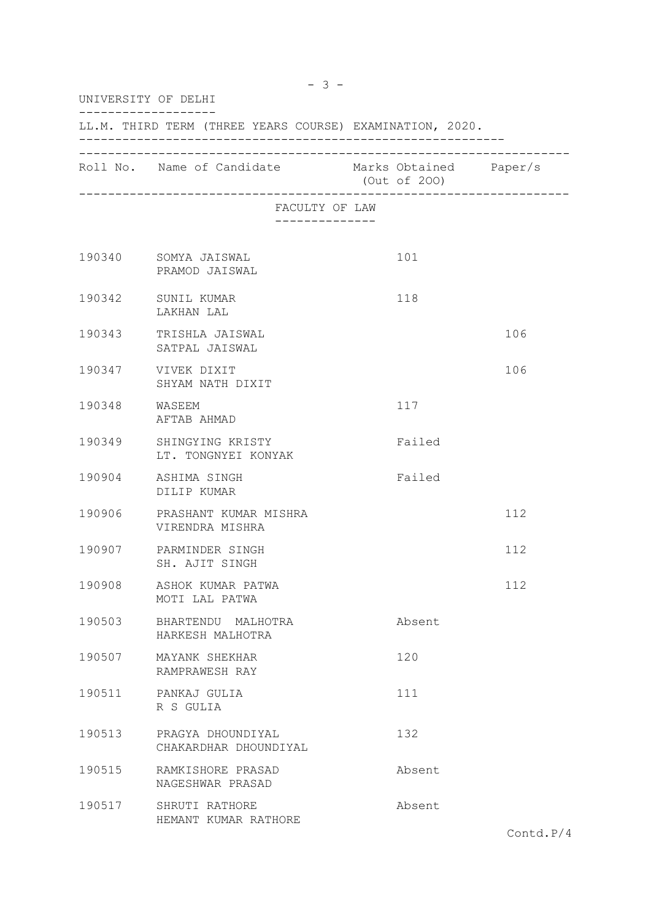| UNIVERSITY OF DELHI<br>LL.M. THIRD TERM (THREE YEARS COURSE) EXAMINATION, 2020. |                                                 |  |        |     |  |  |
|---------------------------------------------------------------------------------|-------------------------------------------------|--|--------|-----|--|--|
|                                                                                 |                                                 |  |        |     |  |  |
|                                                                                 | FACULTY OF LAW                                  |  |        |     |  |  |
|                                                                                 | 190340 SOMYA JAISWAL<br>PRAMOD JAISWAL          |  | 101    |     |  |  |
| 190342                                                                          | SUNIL KUMAR<br>LAKHAN LAL                       |  | 118    |     |  |  |
| 190343                                                                          | TRISHLA JAISWAL<br>SATPAL JAISWAL               |  |        | 106 |  |  |
|                                                                                 | 190347 VIVEK DIXIT<br>SHYAM NATH DIXIT          |  |        | 106 |  |  |
| 190348 WASEEM                                                                   | AFTAB AHMAD                                     |  | 117    |     |  |  |
| 190349                                                                          | SHINGYING KRISTY<br>LT. TONGNYEI KONYAK         |  | Failed |     |  |  |
|                                                                                 | 190904 ASHIMA SINGH<br>DILIP KUMAR              |  | Failed |     |  |  |
|                                                                                 | 190906 PRASHANT KUMAR MISHRA<br>VIRENDRA MISHRA |  |        | 112 |  |  |
|                                                                                 | 190907 PARMINDER SINGH<br>SH. AJIT SINGH        |  |        | 112 |  |  |
| 190908                                                                          | ASHOK KUMAR PATWA<br>MOTI LAL PATWA             |  |        | 112 |  |  |
| 190503                                                                          | BHARTENDU MALHOTRA<br>HARKESH MALHOTRA          |  | Absent |     |  |  |
| 190507                                                                          | MAYANK SHEKHAR<br>RAMPRAWESH RAY                |  | 120    |     |  |  |
| 190511                                                                          | PANKAJ GULIA<br>R S GULIA                       |  | 111    |     |  |  |
| 190513                                                                          | PRAGYA DHOUNDIYAL<br>CHAKARDHAR DHOUNDIYAL      |  | 132    |     |  |  |
| 190515                                                                          | RAMKISHORE PRASAD<br>NAGESHWAR PRASAD           |  | Absent |     |  |  |
| 190517                                                                          | SHRUTI RATHORE<br>HEMANT KUMAR RATHORE          |  | Absent |     |  |  |